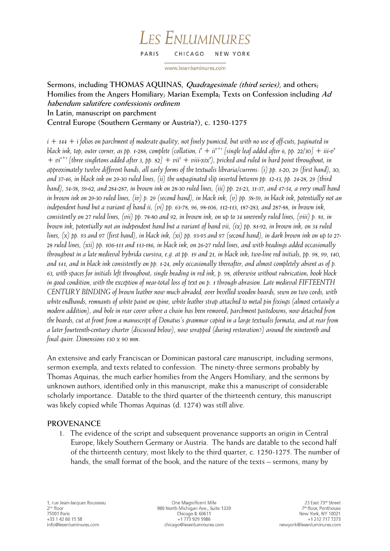#### LES ENLUMINURES PARIS CHICAGO NEW YORK

www.lesenluminures.com

# **Sermons, including THOMAS AQUINAS, Quadragesimale (third series), and others; Homilies from the Angers Homiliary; Marian Exempla; Texts on Confession including Ad habendum salutifere confessionis ordinem In Latin, manuscript on parchment Central Europe (Southern Germany or Austria?), c. 1250-1275**

*i + 144 + i folios on parchment of moderate quality, not finely pumiced, but with no use of off-cuts, paginated in*  black ink, top, outer corner, as pp. 1-288, complete (collation, i $^s$  + ii $^{6+i}$  [single leaf added after 6, pp. 22/30] + iii-v $^s$  $+ vi^{4+3}$  [three singletons added after 3, pp. 82]  $+ vii^2 + viii\text{-}xix^3$ ], pricked and ruled in hard point throughout, in *approximately twelve different hands, all early forms of the textualis libraria/currens: (i) pp. 1-20, 29 (first hand), 30, and 37-46, in black ink on 29-30 ruled lines, (ii) the unpaginated slip inserted between pp. 12-13, pp. 24-28, 29 (third hand), 54-58, 59-62, and 284-287, in brown ink on 28-30 ruled lines, (iii) pp. 21-23, 31-37, and 47-54, a very small hand in brown ink on 29-30 ruled lines, (iv) p. 29 (second hand), in black ink, (v) pp. 58-59, in black ink, potentially not an independent hand but a variant of hand ii, (vi) pp. 63-78, 96, 98-106, 112-113, 187-283, and 287-88, in brown ink, consistently on 27 ruled lines, (vii) pp. 78-80 and 92, in brown ink, on up to 34 unevenly ruled lines, (viii) p. 81, in brown ink, potentially not an independent hand but a variant of hand vii, (ix) pp. 81-92, in brown ink, on 34 ruled lines, (x) pp. 93 and 97 (first hand), in black ink, (xi) pp. 93-95 and 97 (second hand), in dark brown ink on up to 27- 28 ruled lines, (xii) pp. 106-111 and 113-186, in black ink, on 26-27 ruled lines, and with headings added occasionally throughout in a late medieval hybrida cursiva, e.g. at pp. 19 and 21, in black ink; two-line red initials, pp. 98, 99, 140, and 141, and in black ink consistently on pp. 1-24, only occasionally thereafter, and almost completely absent as of p. 63, with spaces for initials left throughout; single heading in red ink, p. 98, otherwise without rubrication; book block in good condition, with the exception of near-total loss of text on p. 1 through abrasion. Late medieval FIFTEENTH CENTURY BINDING of brown leather now much abraded, over bevelled wooden boards, sewn on two cords, with white endbands, remnants of white paint on spine, white leather strap attached to metal pin fixings (almost certainly a modern addition), and hole in rear cover where a chain has been removed; parchment pastedowns, now detached from the boards, cut at front from a manuscript of Donatus's grammar copied in a large textualis formata, and at rear from a later fourteenth-century charter (discussed below), now wrapped (during restoration?) around the nineteenth and final quire. Dimensions 130 x 90 mm.*

An extensive and early Franciscan or Dominican pastoral care manuscript, including sermons, sermon exempla, and texts related to confession. The ninety-three sermons probably by Thomas Aquinas, the much earlier homilies from the Angers Homiliary, and the sermons by unknown authors, identified only in this manuscript, make this a manuscript of considerable scholarly importance. Datable to the third quarter of the thirteenth century, this manuscript was likely copied while Thomas Aquinas (d. 1274) was still alive.

## **PROVENANCE**

1. The evidence of the script and subsequent provenance supports an origin in Central Europe, likely Southern Germany or Austria. The hands are datable to the second half of the thirteenth century, most likely to the third quarter, c. 1250-1275. The number of hands, the small format of the book, and the nature of the texts – sermons, many by

One Magnificent Mile 980 North Michigan Ave., Suite 1330 Chicago IL 60611 +1 773 929 5986 chicago@lesenluminures.com

23 East 73rd Street 7<sup>th</sup> floor, Penthouse New York, NY 10021 +1 212 717 7273 newyork@lesenluminures.com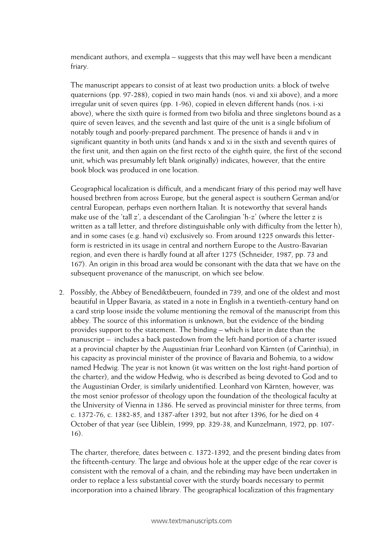mendicant authors, and exempla – suggests that this may well have been a mendicant friary.

The manuscript appears to consist of at least two production units: a block of twelve quaternions (pp. 97-288), copied in two main hands (nos. vi and xii above), and a more irregular unit of seven quires (pp. 1-96), copied in eleven different hands (nos. i-xi above), where the sixth quire is formed from two bifolia and three singletons bound as a quire of seven leaves, and the seventh and last quire of the unit is a single bifolium of notably tough and poorly-prepared parchment. The presence of hands ii and v in significant quantity in both units (and hands x and xi in the sixth and seventh quires of the first unit, and then again on the first recto of the eighth quire, the first of the second unit, which was presumably left blank originally) indicates, however, that the entire book block was produced in one location.

Geographical localization is difficult, and a mendicant friary of this period may well have housed brethren from across Europe, but the general aspect is southern German and/or central European, perhaps even northern Italian. It is noteworthy that several hands make use of the 'tall z', a descendant of the Carolingian 'h-z' (where the letter z is written as a tall letter, and threfore distinguishable only with difficulty from the letter h), and in some cases (e.g. hand vi) exclusively so. From around 1225 onwards this letterform is restricted in its usage in central and northern Europe to the Austro-Bavarian region, and even there is hardly found at all after 1275 (Schneider, 1987, pp. 73 and 167). An origin in this broad area would be consonant with the data that we have on the subsequent provenance of the manuscript, on which see below.

2. Possibly, the Abbey of Benediktbeuern, founded in 739, and one of the oldest and most beautiful in Upper Bavaria, as stated in a note in English in a twentieth-century hand on a card strip loose inside the volume mentioning the removal of the manuscript from this abbey. The source of this information is unknown, but the evidence of the binding provides support to the statement. The binding – which is later in date than the manuscript – includes a back pastedown from the left-hand portion of a charter issued at a provincial chapter by the Augustinian friar Leonhard von Kärnten (of Carinthia), in his capacity as provincial minister of the province of Bavaria and Bohemia, to a widow named Hedwig. The year is not known (it was written on the lost right-hand portion of the charter), and the widow Hedwig, who is described as being devoted to God and to the Augustinian Order, is similarly unidentified. Leonhard von Kärnten, however, was the most senior professor of theology upon the foundation of the theological faculty at the University of Vienna in 1386. He served as provincial minister for three terms, from c. 1372-76, c. 1382-85, and 1387-after 1392, but not after 1396, for he died on 4 October of that year (see Uiblein, 1999, pp. 329-38, and Kunzelmann, 1972, pp. 107- 16).

The charter, therefore, dates between c. 1372-1392, and the present binding dates from the fifteenth-century. The large and obvious hole at the upper edge of the rear cover is consistent with the removal of a chain, and the rebinding may have been undertaken in order to replace a less substantial cover with the sturdy boards necessary to permit incorporation into a chained library. The geographical localization of this fragmentary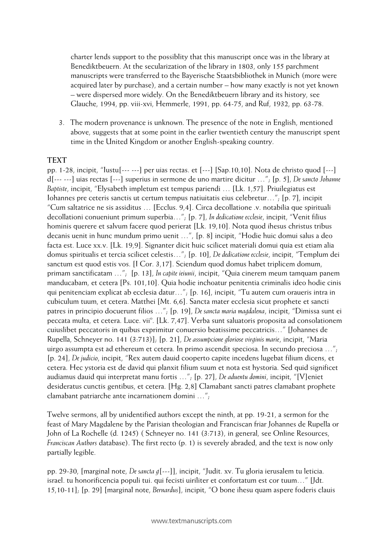charter lends support to the possiblity that this manuscript once was in the library at Benediktbeuern. At the secularization of the library in 1803, only 155 parchment manuscripts were transferred to the Bayerische Staatsbibliothek in Munich (more were acquired later by purchase), and a certain number – how many exactly is not yet known – were dispersed more widely. On the Benediktbeuern library and its history, see Glauche, 1994, pp. viii-xvi, Hemmerle, 1991, pp. 64-75, and Ruf, 1932, pp. 63-78.

3. The modern provenance is unknown. The presence of the note in English, mentioned above, suggests that at some point in the earlier twentieth century the manuscript spent time in the United Kingdom or another English-speaking country.

#### **TEXT**

pp. 1-28, incipit, "Iustu[--- ---] per uias rectas. et [---] [Sap.10,10]. Nota de christo quod [---] d[--- ---] uias rectas [---] superius in sermone de uno martire dicitur …"; [p. 5], *De sancto Johanne Baptiste*, incipit, "Elysabeth impletum est tempus pariendi … [Lk. 1,57]. Priuilegiatus est Iohannes pre ceteris sanctis ut certum tempus natiuitatis eius celebretur…"; [p. 7], incipit "Cum saltatrice ne sis assiditus … [Ecclus. 9,4]. Circa decollatione .v. notabilia que spirituali decollationi conueniunt primum superbia…"; [p. 7], *In dedicatione ecclesie*, incipit, "Venit filius hominis querere et salvum facere quod perierat [Lk. 19,10]. Nota quod ihesus christus tribus decanis uenit in hunc mundum primo uenit …", [p. 8] incipit, "Hodie huic domui salus a deo facta est. Luce xx.v. [Lk. 19,9]. Signanter dicit huic scilicet materiali domui quia est etiam alia domus spiritualis et tercia scilicet celestis…"; [p. 10], *De dedicatione ecclesie*, incipit, "Templum dei sanctum est quod estis vos. [I Cor. 3,17]. Sciendum quod domus habet triplicem domum, primam sanctificatam …"; [p. 13], *In capite ieiunii*, incipit, "Quia cinerem meum tamquam panem manducabam, et cetera [Ps. 101,10]. Quia hodie inchoatur penitentia criminalis ideo hodie cinis qui penitenciam explicat ab ecclesia datur…"; [p. 16], incipit, "Tu autem cum oraueris intra in cubiculum tuum, et cetera. Matthei [Mt. 6,6]. Sancta mater ecclesia sicut prophete et sancti patres in principio docuerunt filios …"; [p. 19], *De sancta maria magdalena*, incipit, "Dimissa sunt ei peccata multa, et cetera. Luce. vii<sup>o</sup>. [Lk. 7,47]. Verba sunt saluatoris proposita ad consolationem cuiuslibet peccatoris in quibus exprimitur conuersio beatissime peccatricis…" [Johannes de Rupella, Schneyer no. 141 (3:713)]; [p. 21], *De assumpcione gloriose virginis marie*, incipit, "Maria uirgo assumpta est ad ethereum et cetera. In primo ascendit speciosa. In secundo preciosa …"; [p. 24], *De judicio*, incipit, "Rex autem dauid cooperto capite incedens lugebat filium dicens, et cetera. Hec ystoria est de david qui planxit filium suum et nota est hystoria. Sed quid significet audiamus dauid qui interpretat manu fortis …"; [p. 27], *De aduentu domini*, incipit, "[V]eniet desideratus cunctis gentibus, et cetera. [Hg. 2,8] Clamabant sancti patres clamabant prophete clamabant patriarche ante incarnationem domini …";

Twelve sermons, all by unidentified authors except the ninth, at pp. 19-21, a sermon for the feast of Mary Magdalene by the Parisian theologian and Franciscan friar Johannes de Rupella or John of La Rochelle (d. 1245) ( Schneyer no. 141 (3:713), in general, see Online Resources, *Franciscan Authors* database). The first recto (p. 1) is severely abraded, and the text is now only partially legible.

pp. 29-30, [marginal note, *De sancta g*[---]], incipit, "Judit. xv. Tu gloria ierusalem tu leticia. israel. tu honorificencia populi tui. qui fecisti uiriliter et confortatum est cor tuum…" [Jdt. 15,10-11]; [p. 29] [marginal note, *Bernardus*], incipit, "O bone ihesu quam aspere foderis clauis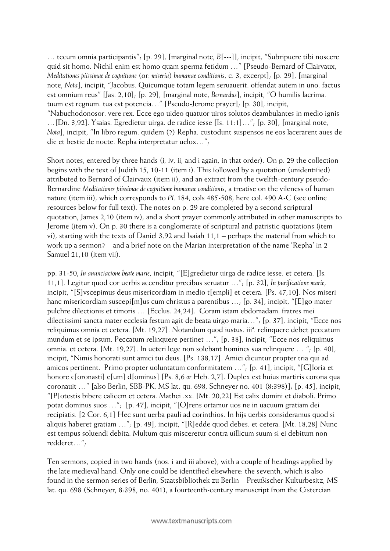… tecum omnia participantis"; [p. 29], [marginal note, *B*[---]], incipit, "Subripuere tibi noscere quid sit homo. Nichil enim est homo quam sperma fetidum …" [Pseudo-Bernard of Clairvaux, *Meditationes piissimae de cognitione* (or: *miseria*) *humanae conditionis*, c. 3, excerpt]; [p. 29], [marginal note, *Nota*], incipit, "Jacobus. Quicumque totam legem seruauerit. offendat autem in uno. factus est omnium reus" [Jas. 2,10]; [p. 29], [marginal note, *Bernardus*], incipit, "O humilis lacrima. tuum est regnum. tua est potencia…" [Pseudo-Jerome prayer]; [p. 30], incipit, "Nabuchodonosor. vere rex. Ecce ego uideo quatuor uiros solutos deambulantes in medio ignis …[Dn. 3,92]. Ysaias. Egredietur uirga. de radice iesse [Is. 11:1]…"; [p. 30], [marginal note, *Nota*], incipit, "In libro regum. quidem (?) Repha. custodunt suspensos ne eos lacerarent aues de die et bestie de nocte. Repha interpretatur uelox…";

Short notes, entered by three hands (i, iv, ii, and i again, in that order). On p. 29 the collection begins with the text of Judith 15, 10-11 (item i). This followed by a quotation (unidentified) attributed to Bernard of Clairvaux (item ii), and an extract from the twelfth-century pseudo-Bernardine *Meditationes piissimae de cognitione humanae conditionis*, a treatise on the vileness of human nature (item iii), which corresponds to *PL* 184, cols 485-508, here col. 490 A-C (see online resources below for full text). The notes on p. 29 are completed by a second scriptural quotation, James 2,10 (item iv), and a short prayer commonly attributed in other manuscripts to Jerome (item v). On p. 30 there is a conglomerate of scriptural and patristic quotations (item vi), starting with the texts of Daniel 3,92 and Isaiah 11,1 – perhaps the material from which to work up a sermon? – and a brief note on the Marian interpretation of the name 'Repha' in 2 Samuel 21,10 (item vii).

pp. 31-50, *In anunciacione beate marie*, incipit, "[E]gredietur uirga de radice iesse. et cetera. [Is. 11,1]. Legitur quod cor uerbis accenditur precibus seruatur …"; [p. 32], *In purificatione marie*, incipit, "[S]vscepimus deus misericordiam in medio t[empli] et cetera. [Ps. 47,10]. Nos miseri hanc misericordiam suscepi[m]us cum christus a parentibus ...; [p. 34], incipit, "[E]go mater pulchre dilectionis et timoris … [Ecclus. 24,24]. Coram istam ebdomadam. fratres mei dilectissimi sancta mater ecclesia festum agit de beata uirgo maria…"; [p. 37], incipit, "Ecce nos reliquimus omnia et cetera. [Mt. 19,27]. Notandum quod iustus. iii<sup>a</sup>. relinquere debet peccatum mundum et se ipsum. Peccatum relinquere pertinet …"; [p. 38], incipit, "Ecce nos reliquimus omnia. et cetera. [Mt. 19,27]. In ueteri lege non solebant homines sua relinquere … "; [p. 40], incipit, "Nimis honorati sunt amici tui deus. [Ps. 138,17]. Amici dicuntur propter tria qui ad amicos pertinent. Primo propter uoluntatum conformitatem …"; [p. 41], incipit, "[G]loria et honore c[oronasti] e[um] d[ominus] [Ps. 8,6 *or* Heb. 2,7]. Duplex est huius martiris corona qua coronauit …" [also Berlin, SBB-PK, MS lat. qu. 698, Schneyer no. 401 (8:398)]; [p. 45], incipit, "[P]otestis bibere calicem et cetera. Mathei .xx. [Mt. 20,22] Est calix domini et diaboli. Primo potat dominus suos …"; [p. 47], incipit, "[O]rens ortamur uos ne in uacuum gratiam dei recipiatis. [2 Cor. 6,1] Hec sunt uerba pauli ad corinthios. In hijs uerbis consideramus quod si aliquis haberet gratiam …"; [p. 49], incipit, "[R]edde quod debes. et cetera. [Mt. 18,28] Nunc est tempus soluendi debita. Multum quis misceretur contra uillicum suum si ei debitum non redderet…";

Ten sermons, copied in two hands (nos. i and iii above), with a couple of headings applied by the late medieval hand. Only one could be identified elsewhere: the seventh, which is also found in the sermon series of Berlin, Staatsbibliothek zu Berlin – Preußischer Kulturbesitz, MS lat. qu. 698 (Schneyer, 8:398, no. 401), a fourteenth-century manuscript from the Cistercian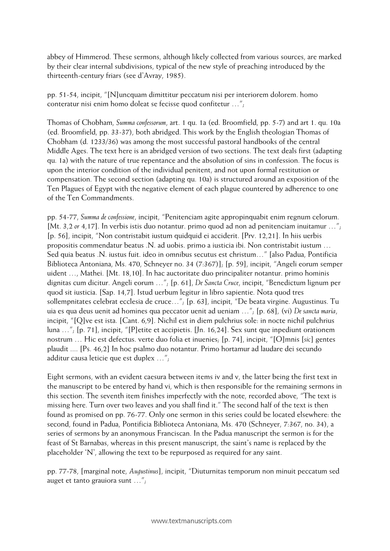abbey of Himmerod. These sermons, although likely collected from various sources, are marked by their clear internal subdivisions, typical of the new style of preaching introduced by the thirteenth-century friars (see d'Avray, 1985).

pp. 51-54, incipit, "[N]uncquam dimittitur peccatum nisi per interiorem dolorem. homo conteratur nisi enim homo doleat se fecisse quod confitetur …";

Thomas of Chobham, *Summa confessorum*, art. 1 qu. 1a (ed. Broomfield, pp. 5-7) and art 1. qu. 10a (ed. Broomfield, pp. 33-37), both abridged. This work by the English theologian Thomas of Chobham (d. 1233/36) was among the most successful pastoral handbooks of the central Middle Ages. The text here is an abridged version of two sections. The text deals first (adapting qu. 1a) with the nature of true repentance and the absolution of sins in confession. The focus is upon the interior condition of the individual penitent, and not upon formal restitution or compensation. The second section (adapting qu. 10a) is structured around an exposition of the Ten Plagues of Egypt with the negative element of each plague countered by adherence to one of the Ten Commandments.

pp. 54-77, *Summa de confessione*, incipit, "Penitenciam agite appropinquabit enim regnum celorum. [Mt. 3,2 *or* 4,17]. In verbis istis duo notantur. primo quod ad non ad penitenciam inuitamur …"; [p. 56], incipit, "Non contristabit iustum quidquid ei acciderit. [Prv. 12,21]. In hiis uerbis propositis commendatur beatus .N. ad uobis. primo a iusticia ibi. Non contristabit iustum … Sed quia beatus .N. iustus fuit. ideo in omnibus secutus est christum…" [also Padua, Pontificia Biblioteca Antoniana, Ms. 470, Schneyer no. 34 (7:367)]; [p. 59], incipit, "Angeli eorum semper uident …, Mathei. [Mt. 18,10]. In hac auctoritate duo principaliter notantur. primo hominis dignitas cum dicitur. Angeli eorum …"; [p. 61], *De Sancta Cruce*, incipit, "Benedictum lignum per quod sit iusticia. [Sap. 14,7]. Istud uerbum legitur in libro sapientie. Nota quod tres sollempnitates celebrat ecclesia de cruce…"; [p. 63], incipit, "De beata virgine. Augustinus. Tu uia es qua deus uenit ad homines qua peccator uenit ad ueniam …"; [p. 68], (vi) *De sancta maria*, incipit, "[Q]ve est ista. [Cant. 6,9]. Nichil est in diem pulchrius sole: in nocte nichil pulchrius luna …"; [p. 71], incipit, "[P]etite et accipietis. [Jn. 16,24]. Sex sunt que inpediunt orationem nostrum … Hic est defectus. verte duo folia et inuenies; [p. 74], incipit, "[O]mnis [*sic*] gentes plaudit .... [Ps. 46,2] In hoc psalmo duo notantur. Primo hortamur ad laudare dei secundo additur causa leticie que est duplex …";

Eight sermons, with an evident caesura between items iv and v, the latter being the first text in the manuscript to be entered by hand vi, which is then responsible for the remaining sermons in this section. The seventh item finishes imperfectly with the note, recorded above, "The text is missing here. Turn over two leaves and you shall find it." The second half of the text is then found as promised on pp. 76-77. Only one sermon in this series could be located elsewhere: the second, found in Padua, Pontificia Biblioteca Antoniana, Ms. 470 (Schneyer, 7:367, no. 34), a series of sermons by an anonymous Franciscan. In the Padua manuscript the sermon is for the feast of St Barnabas, whereas in this present manuscript, the saint's name is replaced by the placeholder 'N', allowing the text to be repurposed as required for any saint.

pp. 77-78, [marginal note, *Augustinus*], incipit, "Diuturnitas temporum non minuit peccatum sed auget et tanto grauiora sunt …";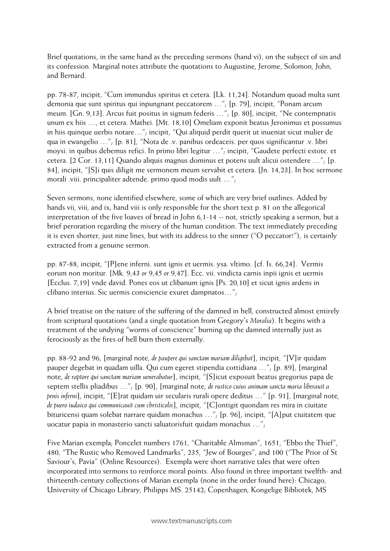Brief quotations, in the same hand as the preceding sermons (hand vi), on the subject of sin and its confession. Marginal notes attribute the quotations to Augustine, Jerome, Solomon, John, and Bernard.

pp. 78-87, incipit, "Cum immundus spiritus et cetera. [Lk. 11,24]. Notandum quoad multa sunt demonia que sunt spiritus qui inpungnant peccatorem …"; [p. 79], incipit, "Ponam arcum meum. [Gn. 9,13]. Arcus fuit positus in signum federis …"; [p. 80], incipit, "Ne contempnatis unum ex hiis …, et cetera. Mathei. [Mt. 18,10] Omeliam exponit beatus Jeronimus et possumus in hiis quinque uerbis notare…"; incipit, "Qui aliquid perdit querit ut inueniat sicut mulier de qua in ewangelio …"; [p. 81], "Nota de .v. panibus ordeaceis. per quos significantur .v. libri moysi. in quibus debemus refici. In primo libri legitur …"; incipit, "Gaudete perfecti estote. et cetera. [2 Cor. 13,11] Quando aliquis magnus dominus et potens uult alicui ostendere …"; [p. 84], incipit, "[S]i quis diligit me sermonem meum servabit et cetera. [Jn. 14,23]. In hoc sermone morali .viii. principaliter adtende. primo quod modis uult …";

Seven sermons, none identified elsewhere, some of which are very brief outlines. Added by hands vii, viii, and ix; hand viii is only responsible for the short text p. 81 on the allegorical interpretation of the five loaves of bread in John 6,1-14 -- not, strictly speaking a sermon, but a brief peroration regarding the misery of the human condition. The text immediately preceding it is even shorter, just nine lines, but with its address to the sinner ("O peccator!"), is certainly extracted from a genuine sermon.

pp. 87-88, incipit, "[P]ene inferni. sunt ignis et uermis. ysa. vltimo. [cf. Is. 66,24]. Vermis eorum non moritur. [Mk. 9,43 *or* 9,45 *or* 9,47]. Ecc. vii. vindicta carnis inpii ignis et uermis [Ecclus. 7,19] vnde david. Pones eos ut clibanum ignis [Ps. 20,10] et sicut ignis ardens in clibano interius. Sic uermis consciencie exuret dampnatos…";

A brief treatise on the nature of the suffering of the damned in hell, constructed almost entirely from scriptural quotations (and a single quotation from Gregory's *Moralia*). It begins with a treatment of the undying "worms of conscience" burning up the damned internally just as ferociously as the fires of hell burn them externally.

pp. 88-92 and 96, [marginal note, *de paupere qui sanctam mariam diligebat*], incipit, "[V]ir quidam pauper degebat in quadam uilla. Qui cum egeret stipendia cottidiana …"; [p. 89], [marginal note, *de raptore qui sanctam mariam uenerabatur*], incipit, "[S]icut exposuit beatus gregorius papa de septem stellis pliadibus …"; [p. 90], [marginal note, *de rustico cuius animam sancta maria liberauit a penis inferni*], incipit, "[E]rat quidam uir secularis rurali opere deditus …" [p. 91], [marginal note, *de puero iudaico qui communicauit cum christicolis*], incipit, "[C]ontigit quondam res mira in ciuitate bituricensi quam solebat narrare quidam monachus …"; [p. 96], incipit, "[A]put ciuitatem que uocatur papia in monasterio sancti saluatorisfuit quidam monachus …";

Five Marian exempla; Poncelet numbers 1761, "Charitable Almsman", 1651, "Ebbo the Thief", 480, "The Rustic who Removed Landmarks", 235, "Jew of Bourges", and 100 ("The Prior of St Saviour's, Pavia" (Online Resources). Exempla were short narrative tales that were often incorporated into sermons to reinforce moral points. Also found in three important twelfth- and thirteenth-century collections of Marian exempla (none in the order found here): Chicago, University of Chicago Library, Philipps MS. 25142; Copenhagen, Kongelige Bibliotek, MS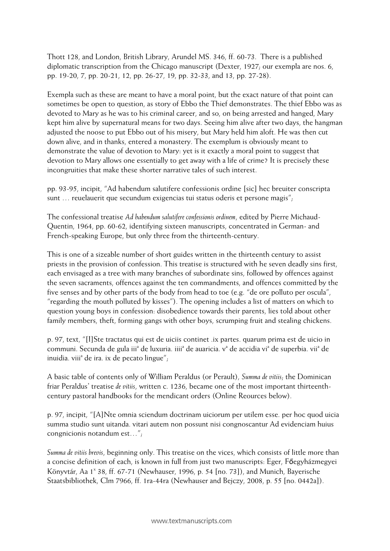Thott 128, and London, British Library, Arundel MS. 346, ff. 60-73. There is a published diplomatic transcription from the Chicago manuscript (Dexter, 1927; our exempla are nos. 6, pp. 19-20, 7, pp. 20-21, 12, pp. 26-27, 19, pp. 32-33, and 13, pp. 27-28).

Exempla such as these are meant to have a moral point, but the exact nature of that point can sometimes be open to question, as story of Ebbo the Thief demonstrates. The thief Ebbo was as devoted to Mary as he was to his criminal career, and so, on being arrested and hanged, Mary kept him alive by supernatural means for two days. Seeing him alive after two days, the hangman adjusted the noose to put Ebbo out of his misery, but Mary held him aloft. He was then cut down alive, and in thanks, entered a monastery. The exemplum is obviously meant to demonstrate the value of devotion to Mary: yet is it exactly a moral point to suggest that devotion to Mary allows one essentially to get away with a life of crime? It is precisely these incongruities that make these shorter narrative tales of such interest.

pp. 93-95, incipit, "Ad habendum salutifere confessionis ordine [sic] hec breuiter conscripta sunt … reuelauerit que secundum exigencias tui status oderis et persone magis";

The confessional treatise *Ad habendum salutifere confessionis ordinem*, edited by Pierre Michaud-Quentin, 1964, pp. 60-62, identifying sixteen manuscripts, concentrated in German- and French-speaking Europe, but only three from the thirteenth-century.

This is one of a sizeable number of short guides written in the thirteenth century to assist priests in the provision of confession. This treatise is structured with he seven deadly sins first, each envisaged as a tree with many branches of subordinate sins, followed by offences against the seven sacraments, offences against the ten commandments, and offences committed by the five senses and by other parts of the body from head to toe (e.g. "de ore polluto per oscula", "regarding the mouth polluted by kisses"). The opening includes a list of matters on which to question young boys in confession: disobedience towards their parents, lies told about other family members, theft, forming gangs with other boys, scrumping fruit and stealing chickens.

p. 97, text, "[I]Ste tractatus qui est de uiciis continet .ix partes. quarum prima est de uicio in communi. Secunda de gula iii<sup>a</sup> de luxuria. iiii<sup>a</sup> de auaricia. v<sup>a</sup> de accidia vi<sup>a</sup> de superbia. vii<sup>a</sup> de inuidia. viii<sup>a</sup> de ira. ix de pecato lingue";

A basic table of contents only of William Peraldus (or Perault), *Summa de vitiis*; the Dominican friar Peraldus' treatise *de vitiis*, written c. 1236, became one of the most important thirteenthcentury pastoral handbooks for the mendicant orders (Online Reources below).

p. 97, incipit, "[A]Nte omnia sciendum doctrinam uiciorum per utilem esse. per hoc quod uicia summa studio sunt uitanda. vitari autem non possunt nisi congnoscantur Ad evidenciam huius congnicionis notandum est…";

*Summa de vitiis brevis*, beginning only. This treatise on the vices, which consists of little more than a concise definition of each, is known in full from just two manuscripts: Eger, Főegyházmegyei Könyvtár, Aa 1<sup>x</sup> 38, ff. 67-71 (Newhauser, 1996, p. 54 [no. 73]), and Munich, Bayerische Staatsbibliothek, Clm 7966, ff. 1ra-44ra (Newhauser and Bejczy, 2008, p. 55 [no. 0442a]).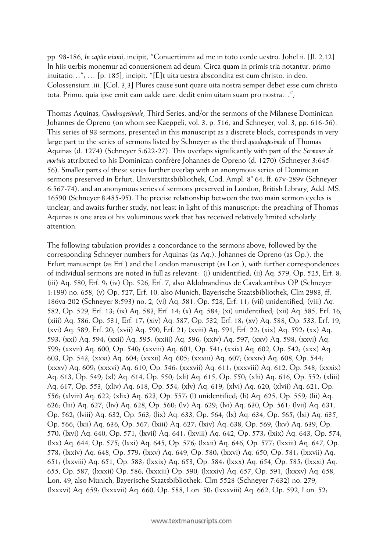pp. 98-186, *In capite ieiunii*, incipit, "Conuertimini ad me in toto corde uestro. Johel ii. [Jl. 2,12] In hiis uerbis monemur ad conuersionem ad deum. Circa quam in primis tria notantur. primo inuitatio…"; … [p. 185], incipit, "[E]t uita uestra abscondita est cum christo. in deo. Colossensium .iii. [Col. 3,3] Plures cause sunt quare uita nostra semper debet esse cum christo tota. Primo. quia ipse emit eam ualde care. dedit enim uitam suam pro nostra…";

Thomas Aquinas, *Quadragesimale*, Third Series, and/or the sermons of the Milanese Dominican Johannes de Opreno (on whom see Kaeppeli, vol. 3, p. 516, and Schneyer, vol. 3, pp. 616-56). This series of 93 sermons, presented in this manuscript as a discrete block, corresponds in very large part to the series of sermons listed by Schneyer as the third *quadragesimale* of Thomas Aquinas (d. 1274) (Schneyer 5:622-27). This overlaps significantly with part of the *Sermones de mortuis* attributed to his Dominican confrère Johannes de Opreno (d. 1270) (Schneyer 3:645- 56). Smaller parts of these series further overlap with an anonymous series of Dominican sermons preserved in Erfurt, Universitätsbibliothek, Cod. Ampl. 8° 64, ff. 67v-289v (Schneyer 6:567-74), and an anonymous series of sermons preserved in London, British Library, Add. MS. 16590 (Schneyer 8:485-95). The precise relationship between the two main sermon cycles is unclear, and awaits further study, not least in light of this manuscript: the preaching of Thomas Aquinas is one area of his voluminous work that has received relatively limited scholarly attention.

The following tabulation provides a concordance to the sermons above, followed by the corresponding Schneyer numbers for Aquinas (as Aq.). Johannes de Opreno (as Op.), the Erfurt manuscript (as Erf.) and the London manuscript (as Lon.), with further correspondences of individual sermons are noted in full as relevant: (i) unidentified; (ii) Aq. 579, Op. 525, Erf. 8; (iii) Aq. 580, Erf. 9; (iv) Op. 526, Erf. 7, also Aldobrandinus de Cavalcantibus OP (Schneyer 1:199) no. 658; (v) Op. 527, Erf. 10, also Munich, Bayerische Staatsbibliothek, Clm 2983, ff. 186va-202 (Schneyer 8:593) no. 2; (vi) Aq. 581, Op. 528, Erf. 11; (vii) unidentified; (viii) Aq. 582, Op. 529, Erf. 13; (ix) Aq. 583, Erf. 14; (x) Aq. 584; (xi) unidentified; (xii) Aq. 585, Erf. 16; (xiii) Aq. 586, Op. 531, Erf. 17; (xiv) Aq. 587, Op. 532, Erf. 18; (xv) Aq. 588, Op. 533, Erf. 19; (xvi) Aq. 589, Erf. 20; (xvii) Aq. 590, Erf. 21; (xviii) Aq. 591, Erf. 22; (xix) Aq. 592; (xx) Aq. 593; (xxi) Aq. 594; (xxii) Aq. 595; (xxiii) Aq. 596; (xxiv) Aq. 597; (xxv) Aq. 598; (xxvi) Aq. 599; (xxvii) Aq. 600, Op. 540; (xxviii) Aq. 601, Op. 541; (xxix) Aq. 602, Op. 542; (xxx) Aq. 603, Op. 543; (xxxi) Aq. 604; (xxxii) Aq. 605; (xxxiii) Aq. 607; (xxxiv) Aq. 608, Op. 544; (xxxv) Aq. 609; (xxxvi) Aq. 610, Op. 546; (xxxvii) Aq. 611; (xxxviii) Aq. 612, Op. 548; (xxxix) Aq. 613, Op. 549; (xl) Aq. 614, Op. 550; (xli) Aq. 615, Op. 550; (xlii) Aq. 616, Op. 552; (xliii) Aq. 617, Op. 553; (xliv) Aq. 618, Op. 554; (xlv) Aq. 619; (xlvi) Aq. 620; (xlvii) Aq. 621, Op. 556; (xlviii) Aq. 622; (xlix) Aq. 623, Op. 557; (l) unidentified; (li) Aq. 625, Op. 559; (lii) Aq. 626; (liii) Aq. 627; (liv) Aq. 628, Op. 560; (lv) Aq. 629; (lvi) Aq. 630, Op. 561; (lvii) Aq. 631, Op. 562; (lviii) Aq. 632, Op. 563; (lix) Aq. 633, Op. 564; (lx) Aq. 634, Op. 565; (lxi) Aq. 635, Op. 566; (lxii) Aq. 636, Op. 567; (lxiii) Aq. 627; (lxiv) Aq. 638, Op. 569; (lxv) Aq. 639, Op. 570; (lxvi) Aq. 640, Op. 571; (lxvii) Aq. 641; (lxviii) Aq. 642, Op. 573; (lxix) Aq. 643, Op. 574; (lxx) Aq. 644, Op. 575; (lxxi) Aq. 645, Op. 576; (lxxii) Aq. 646, Op. 577; (lxxiii) Aq. 647, Op. 578; (lxxiv) Aq. 648, Op. 579; (lxxv) Aq. 649, Op. 580; (lxxvi) Aq. 650, Op. 581; (lxxvii) Aq. 651; (lxxviii) Aq. 651, Op. 583; (lxxix) Aq. 653, Op. 584; (lxxx) Aq. 654, Op. 585; (lxxxi) Aq. 655, Op. 587; (lxxxii) Op. 586; (lxxxiii) Op. 590; (lxxxiv) Aq. 657, Op. 591; (lxxxv) Aq. 658, Lon. 49, also Munich, Bayerische Staatsbibliothek, Clm 5528 (Schneyer 7:632) no. 279; (lxxxvi) Aq. 659; (lxxxvii) Aq. 660, Op. 588, Lon. 50; (lxxxviii) Aq. 662, Op. 592, Lon. 52;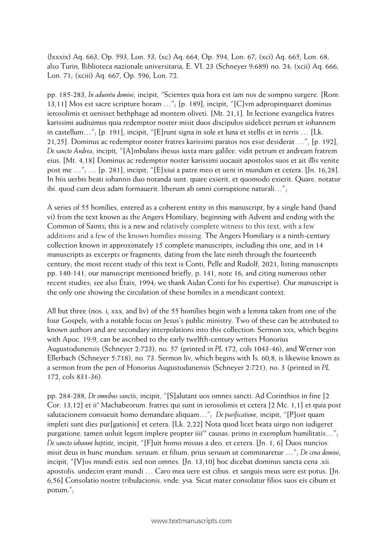(lxxxix) Aq. 663, Op. 593, Lon. 53; (xc) Aq. 664, Op. 594, Lon. 67; (xci) Aq. 665, Lon. 68, also Turin, Biblioteca nazionale universitaria, E. VI. 23 (Schneyer 9:689) no. 24; (xcii) Aq. 666, Lon. 71; (xciii) Aq. 667, Op. 596, Lon. 72.

pp. 185-283, *In aduentu domini*, incipit, "Scientes quia hora est iam nos de sompno surgere. [Rom. 13,11] Mos est sacre scripture horam …"; [p. 189], incipit, "[C]vm adpropinquaret dominus ierosolimis et uenisset bethphage ad montem oliveti. [Mt. 21,1]. In lectione evangelica fratres karissimi audiuimus quia redemptor noster misit duos discipulos uidelicet petrum et iohannem in castellum…"; [p. 191], incipit, "[E]runt signa in sole et luna et stellis et in terris … [Lk. 21,25]. Dominus ac redemptor noster fratres karissimi paratos nos esse desiderat …", [p. 192], *De sancto Andrea*, incipit, "[A]mbulans ihesus iuxta mare galilee. vidit petrum et andream fratrem eius. [Mt. 4,18] Dominus ac redemptor noster karissimi uocauit apostolos suos et ait illis venite post me …"; … [p. 281], incipit, "[E]xiui a patre meo et ueni in mundum et cetera. [Jn. 16,28]. In hiis uerbis beati iohannis duo notanda sunt. quare exierit. et quomodo exierit. Quare. notatur ibi. quod cum deus adam formauerit. liberum ab omni corruptione naturali…";

A series of 55 homilies, entered as a coherent entity in this manuscript, by a single hand (hand vi) from the text known as the Angers Homiliary, beginning with Advent and ending with the Common of Saints; this is a new and relatively complete witness to this text, with a few additions and a few of the known homilies missing. The Angers Homiliary is a ninth-century collection known in approximately 15 complete manuscripts, including this one, and in 14 manuscripts as excerpts or fragments, dating from the late ninth through the fourteenth century; the most recent study of this text is Conti, Pelle and Rudolf, 2021, listing manuscripts pp. 140-141, our manuscript mentioned briefly, p. 141, note 16, and citing numerous other recent studies; see also Étaix, 1994; we thank Aidan Conti for his expertise). Our manuscript is the only one showing the circulation of these homiles in a mendicant context.

All but three (nos. i, xxx, and liv) of the 55 homilies begin with a lemma taken from one of the four Gospels, with a notable focus on Jesus's public ministry. Two of these can be attributed to known authors and are secondary interpolations into this collection. Sermon xxx, which begins with Apoc. 19:9, can be ascribed to the early twelfth-century writers Honorius Augustodunensis (Schneyer 2:723), no. 57 (printed in *PL* 172, cols 1043-46), and Werner von Ellerbach (Schneyer 5:718), no. 73. Sermon liv, which begins with Is. 60,8, is likewise known as a sermon from the pen of Honorius Augustodunensis (Schneyer 2:721), no. 3 (printed in *PL* 172, cols 831-36).

pp. 284-288, *De omnibus sanctis*, incipit, "[S]alutant uos omnes sancti. Ad Corinthios in fine [2 Cor. 13,12] et ii<sup>o</sup> Machabeorum. fratres qui sunt in ierosolimis et cetera [2 Mc. 1,1] et quia post salutacionem consueuit homo demandare aliquam…"; *De purificatione*, incipit, "[P]ost quam impleti sunt dies pur[gationis] et cetera. [Lk. 2,22] Nota quod licet beata uirgo non iudigeret purgatione. tamen uoluit legem implere propter iiii<sup>or</sup> causas. primo in exemplum humilitatis…"; *De sancto iohanne baptiste*, incipit, "[F]uit homo missus a deo. et cetera. [Jn. 1, 6] Duos nuncios misit deus in hunc mundum. seruum. et filium. prius seruum ut comminaretur …"; *De cena domini*, incipit, "[V]os mundi estis. sed non omnes. [Jn. 13,10] hoc dicebat dominus sancta cena .xii. apostolis. undecim erant mundi … Caro mea uere est cibus. et sanguis meus uere est potus. [Jn. 6,56] Consolatio nostre tribulacionis. vnde. ysa. Sicut mater consolatur filios suos eis cibum et potum.";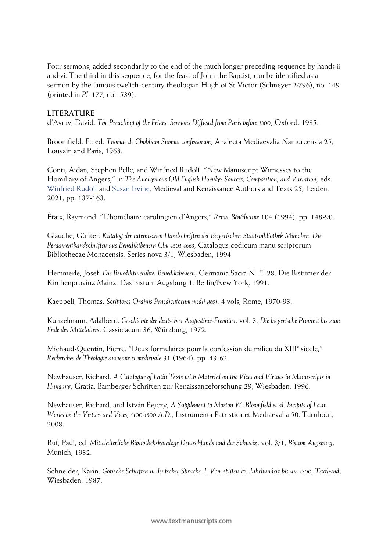Four sermons, added secondarily to the end of the much longer preceding sequence by hands ii and vi. The third in this sequence, for the feast of John the Baptist, can be identified as a sermon by the famous twelfth-century theologian Hugh of St Victor (Schneyer 2:796), no. 149 (printed in *PL* 177, col. 539).

#### **LITERATURE**

d'Avray, David. *The Preaching of the Friars. Sermons Diffused from Paris before 1300*, Oxford, 1985.

Broomfield, F., ed. *Thomae de Chobham Summa confessorum*, Analecta Mediaevalia Namurcensia 25, Louvain and Paris, 1968.

Conti, Aidan, Stephen Pelle, and Winfried Rudolf. "New Manuscript Witnesses to the Homiliary of Angers," in *The Anonymous Old English Homily: Sources, Composition, and Variation*, eds. [Winfried Rudolf](https://brill.com/search?f_0=author&q_0=Winfried+Rudolf) and [Susan Irvine,](https://brill.com/search?f_0=author&q_0=Susan+Irvine) Medieval and Renaissance Authors and Texts 25, Leiden, 2021, pp. 137-163.

Étaix, Raymond. "L'homéliaire carolingien d'Angers," *Revue Bénédictine* 104 (1994), pp. 148-90.

Glauche, Günter. *Katalog der lateinischen Handschriften der Bayerischen Staatsbibliothek München. Die Pergamenthandschriften aus Benediktbeuern Clm 4501-4663*, Catalogus codicum manu scriptorum Bibliothecae Monacensis, Series nova 3/1, Wiesbaden, 1994.

Hemmerle, Josef. *Die Benediktinerabtei Benediktbeuern*, Germania Sacra N. F. 28, Die Bistümer der Kirchenprovinz Mainz. Das Bistum Augsburg 1, Berlin/New York, 1991.

Kaeppeli, Thomas. *Scriptores Ordinis Praedicatorum medii aevi*, 4 vols, Rome, 1970-93.

Kunzelmann, Adalbero. *Geschichte der deutschen Augustiner-Eremiten*, vol. 3, *Die bayerische Provinz bis zum Ende des Mittelalters*, Cassiciacum 36, Würzburg, 1972.

Michaud-Quentin, Pierre. "Deux formulaires pour la confession du milieu du XIII<sup>e</sup> siècle," *Recherches de Théologie ancienne et médiévale* 31 (1964), pp. 43-62.

Newhauser, Richard. *A Catalogue of Latin Texts with Material on the Vices and Virtues in Manuscripts in Hungary*, Gratia. Bamberger Schriften zur Renaissanceforschung 29, Wiesbaden, 1996.

Newhauser, Richard, and István Bejczy, *A Supplement to Morton W. Bloomfield et al. Incipits of Latin Works on the Virtues and Vices, 1100-1500 A.D.*, Instrumenta Patristica et Mediaevalia 50, Turnhout, 2008.

Ruf, Paul, ed. *Mittelalterliche Bibliothekskataloge Deutschlands und der Schweiz*, vol. 3/1, *Bistum Augsburg*, Munich, 1932.

Schneider, Karin. *Gotische Schriften in deutscher Sprache. I. Vom späten 12. Jahrhundert bis um 1300, Textband*, Wiesbaden, 1987.